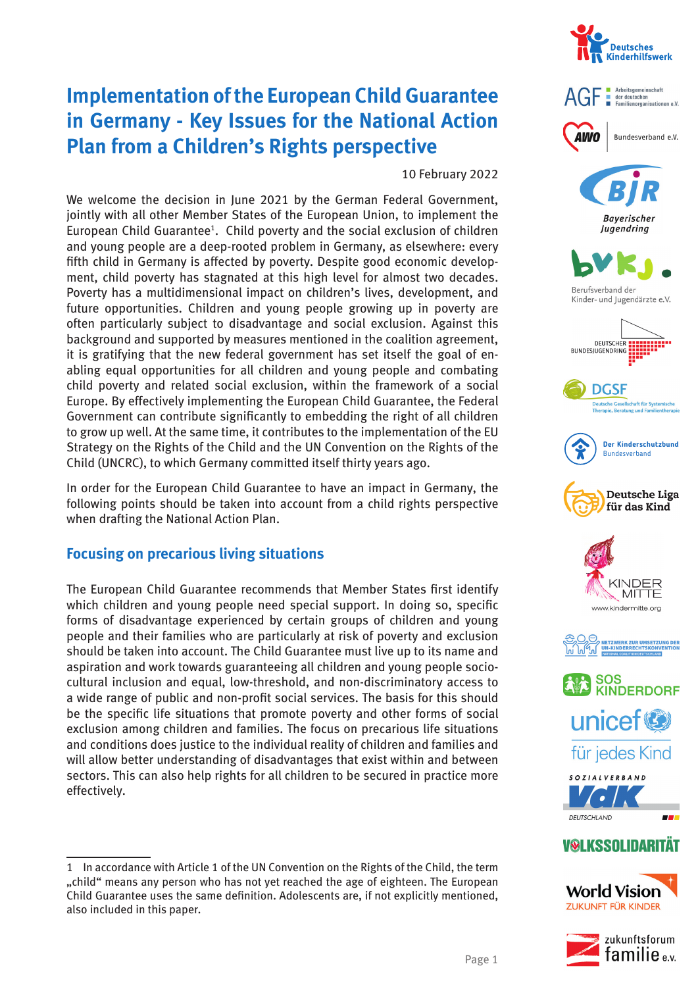

# **Implementation of the European Child Guarantee in Germany - Key Issues for the National Action Plan from a Children's Rights perspective**

10 February 2022

We welcome the decision in June 2021 by the German Federal Government, jointly with all other Member States of the European Union, to implement the European Child Guarantee<sup>1</sup>. Child poverty and the social exclusion of children and young people are a deep-rooted problem in Germany, as elsewhere: every fifth child in Germany is affected by poverty. Despite good economic development, child poverty has stagnated at this high level for almost two decades. Poverty has a multidimensional impact on children's lives, development, and future opportunities. Children and young people growing up in poverty are often particularly subject to disadvantage and social exclusion. Against this background and supported by measures mentioned in the coalition agreement, it is gratifying that the new federal government has set itself the goal of enabling equal opportunities for all children and young people and combating child poverty and related social exclusion, within the framework of a social Europe. By effectively implementing the European Child Guarantee, the Federal Government can contribute significantly to embedding the right of all children to grow up well. At the same time, it contributes to the implementation of the EU Strategy on the Rights of the Child and the UN Convention on the Rights of the Child (UNCRC), to which Germany committed itself thirty years ago.

In order for the European Child Guarantee to have an impact in Germany, the following points should be taken into account from a child rights perspective when drafting the National Action Plan.

#### **Focusing on precarious living situations**

The European Child Guarantee recommends that Member States first identify which children and young people need special support. In doing so, specific forms of disadvantage experienced by certain groups of children and young people and their families who are particularly at risk of poverty and exclusion should be taken into account. The Child Guarantee must live up to its name and aspiration and work towards guaranteeing all children and young people sociocultural inclusion and equal, low-threshold, and non-discriminatory access to a wide range of public and non-profit social services. The basis for this should be the specific life situations that promote poverty and other forms of social exclusion among children and families. The focus on precarious life situations and conditions does justice to the individual reality of children and families and will allow better understanding of disadvantages that exist within and between sectors. This can also help rights for all children to be secured in practice more effectively.





**Bayerischer** Jugendring



Berufsverband der Kinder- und Jugendärzte e.V.



**DGSF** watter<br>Externe Gesellschaft für Systemisch<br>herapie. Beratung und Familienthera











für jedes Kind



# **V@LKSSOLIDARITÄ1**





<sup>1</sup> In accordance with Article 1 of the UN Convention on the Rights of the Child, the term "child" means any person who has not yet reached the age of eighteen. The European Child Guarantee uses the same definition. Adolescents are, if not explicitly mentioned, also included in this paper.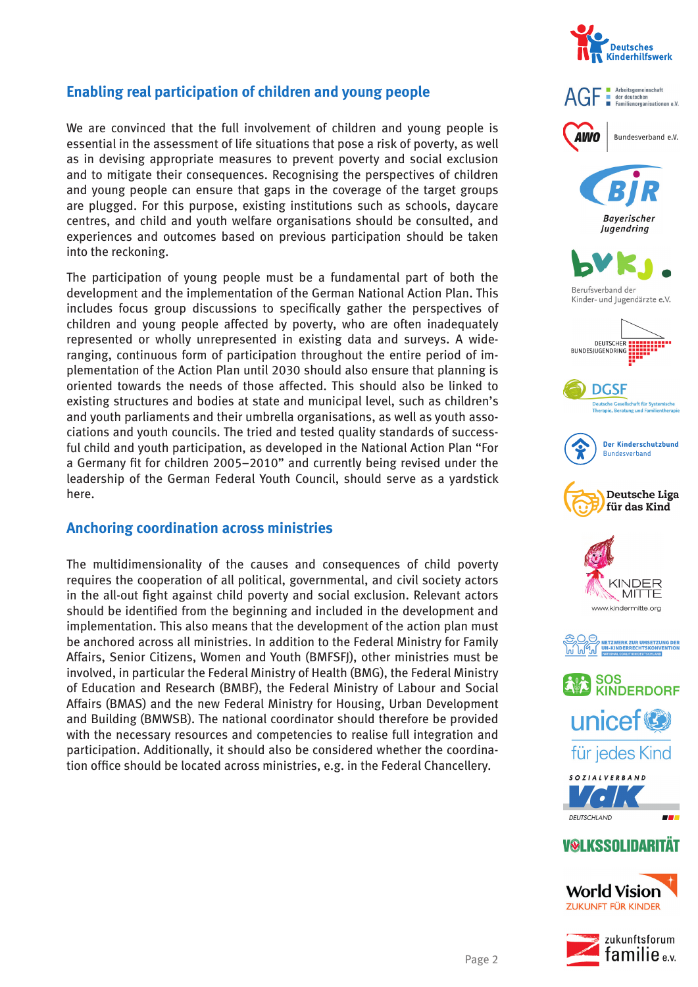

## **Enabling real participation of children and young people**

We are convinced that the full involvement of children and young people is essential in the assessment of life situations that pose a risk of poverty, as well as in devising appropriate measures to prevent poverty and social exclusion and to mitigate their consequences. Recognising the perspectives of children and young people can ensure that gaps in the coverage of the target groups are plugged. For this purpose, existing institutions such as schools, daycare centres, and child and youth welfare organisations should be consulted, and experiences and outcomes based on previous participation should be taken into the reckoning.

The participation of young people must be a fundamental part of both the development and the implementation of the German National Action Plan. This includes focus group discussions to specifically gather the perspectives of children and young people affected by poverty, who are often inadequately represented or wholly unrepresented in existing data and surveys. A wideranging, continuous form of participation throughout the entire period of implementation of the Action Plan until 2030 should also ensure that planning is oriented towards the needs of those affected. This should also be linked to existing structures and bodies at state and municipal level, such as children's and youth parliaments and their umbrella organisations, as well as youth associations and youth councils. The tried and tested quality standards of successful child and youth participation, as developed in the National Action Plan "For a Germany fit for children 2005–2010" and currently being revised under the leadership of the German Federal Youth Council, should serve as a yardstick here.

#### **Anchoring coordination across ministries**

The multidimensionality of the causes and consequences of child poverty requires the cooperation of all political, governmental, and civil society actors in the all-out fight against child poverty and social exclusion. Relevant actors should be identified from the beginning and included in the development and implementation. This also means that the development of the action plan must be anchored across all ministries. In addition to the Federal Ministry for Family Affairs, Senior Citizens, Women and Youth (BMFSFJ), other ministries must be involved, in particular the Federal Ministry of Health (BMG), the Federal Ministry of Education and Research (BMBF), the Federal Ministry of Labour and Social Affairs (BMAS) and the new Federal Ministry for Housing, Urban Development and Building (BMWSB). The national coordinator should therefore be provided with the necessary resources and competencies to realise full integration and participation. Additionally, it should also be considered whether the coordination office should be located across ministries, e.g. in the Federal Chancellery.



















für jedes Kind





## **V@LKSSOLIDARITÄT**

**World Vision ZUKUNFT FÜR KINDER** 

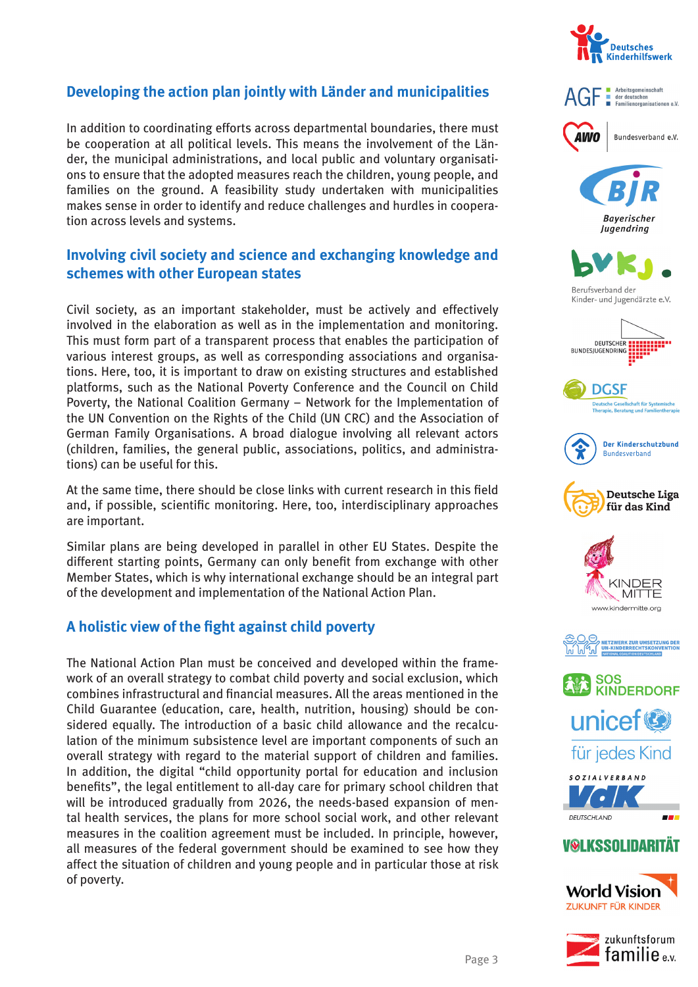## **Developing the action plan jointly with Länder and municipalities**

In addition to coordinating efforts across departmental boundaries, there must be cooperation at all political levels. This means the involvement of the Länder, the municipal administrations, and local public and voluntary organisations to ensure that the adopted measures reach the children, young people, and families on the ground. A feasibility study undertaken with municipalities makes sense in order to identify and reduce challenges and hurdles in cooperation across levels and systems.

#### **Involving civil society and science and exchanging knowledge and schemes with other European states**

Civil society, as an important stakeholder, must be actively and effectively involved in the elaboration as well as in the implementation and monitoring. This must form part of a transparent process that enables the participation of various interest groups, as well as corresponding associations and organisations. Here, too, it is important to draw on existing structures and established platforms, such as the National Poverty Conference and the Council on Child Poverty, the National Coalition Germany – Network for the Implementation of the UN Convention on the Rights of the Child (UN CRC) and the Association of German Family Organisations. A broad dialogue involving all relevant actors (children, families, the general public, associations, politics, and administrations) can be useful for this.

At the same time, there should be close links with current research in this field and, if possible, scientific monitoring. Here, too, interdisciplinary approaches are important.

Similar plans are being developed in parallel in other EU States. Despite the different starting points, Germany can only benefit from exchange with other Member States, which is why international exchange should be an integral part of the development and implementation of the National Action Plan.

## A holistic view of the fight against child poverty

The National Action Plan must be conceived and developed within the framework of an overall strategy to combat child poverty and social exclusion, which combines infrastructural and financial measures. All the areas mentioned in the Child Guarantee (education, care, health, nutrition, housing) should be considered equally. The introduction of a basic child allowance and the recalculation of the minimum subsistence level are important components of such an overall strategy with regard to the material support of children and families. In addition, the digital "child opportunity portal for education and inclusion benefits", the legal entitlement to all-day care for primary school children that will be introduced gradually from 2026, the needs-based expansion of mental health services, the plans for more school social work, and other relevant measures in the coalition agreement must be included. In principle, however, all measures of the federal government should be examined to see how they affect the situation of children and young people and in particular those at risk of poverty.









**Bayerischer** Jugendring



Berufsverband der Kinder- und Jugendärzte e.V.



**DGSF** watter<br>Externe Gesellschaft für Systemisch<br>herapie. Beratung und Familienthera















## **V@LKSSOLIDARITÄ1**